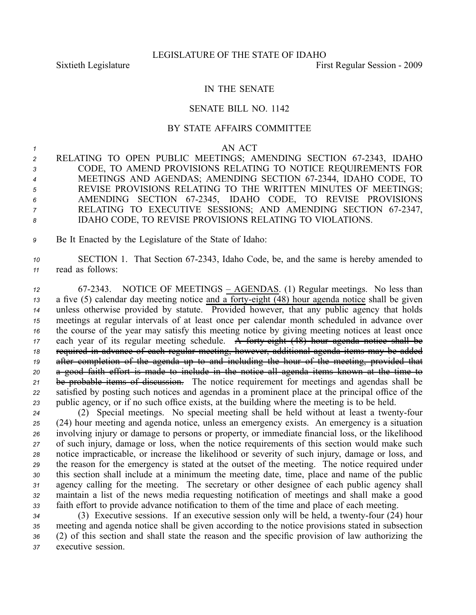## IN THE SENATE

## SENATE BILL NO. 1142

## BY STATE AFFAIRS COMMITTEE

*1* AN ACT

- 2 RELATING TO OPEN PUBLIC MEETINGS; AMENDING SECTION 67-2343, IDAHO *<sup>3</sup>* CODE, TO AMEND PROVISIONS RELATING TO NOTICE REQUIREMENTS FOR *<sup>4</sup>* MEETINGS AND AGENDAS; AMENDING SECTION 672344, IDAHO CODE, TO *<sup>5</sup>* REVISE PROVISIONS RELATING TO THE WRITTEN MINUTES OF MEETINGS; *<sup>6</sup>* AMENDING SECTION 672345, IDAHO CODE, TO REVISE PROVISIONS *<sup>7</sup>* RELATING TO EXECUTIVE SESSIONS; AND AMENDING SECTION 672347, *<sup>8</sup>* IDAHO CODE, TO REVISE PROVISIONS RELATING TO VIOLATIONS.
- *<sup>9</sup>* Be It Enacted by the Legislature of the State of Idaho:
- 10 SECTION 1. That Section 67-2343, Idaho Code, be, and the same is hereby amended to *<sup>11</sup>* read as follows:

 672343. NOTICE OF MEETINGS – AGENDAS. (1) Regular meetings. No less than 13 a five (5) calendar day meeting notice and a forty-eight (48) hour agenda notice shall be given unless otherwise provided by statute. Provided however, that any public agency that holds meetings at regular intervals of at least once per calendar month scheduled in advance over the course of the year may satisfy this meeting notice by giving meeting notices at least once 17 each year of its regular meeting schedule. A forty eight (48) hour agenda notice shall be required in advance of each regular meeting, however, additional agenda items may be added after completion of the agenda up to and including the hour of the meeting, provided that <sup>a</sup> good faith effort is made to include in the notice all agenda items known at the time to be probable items of discussion. The notice requirement for meetings and agendas shall be satisfied by posting such notices and agendas in <sup>a</sup> prominent place at the principal office of the public agency, or if no such office exists, at the building where the meeting is to be held.

 (2) Special meetings. No special meeting shall be held without at least <sup>a</sup> twentyfour (24) hour meeting and agenda notice, unless an emergency exists. An emergency is <sup>a</sup> situation involving injury or damage to persons or property, or immediate financial loss, or the likelihood of such injury, damage or loss, when the notice requirements of this section would make such notice impracticable, or increase the likelihood or severity of such injury, damage or loss, and the reason for the emergency is stated at the outset of the meeting. The notice required under this section shall include at <sup>a</sup> minimum the meeting date, time, place and name of the public agency calling for the meeting. The secretary or other designee of each public agency shall maintain <sup>a</sup> list of the news media requesting notification of meetings and shall make <sup>a</sup> good faith effort to provide advance notification to them of the time and place of each meeting.

34 (3) Executive sessions. If an executive session only will be held, a twenty-four (24) hour meeting and agenda notice shall be given according to the notice provisions stated in subsection (2) of this section and shall state the reason and the specific provision of law authorizing the executive session.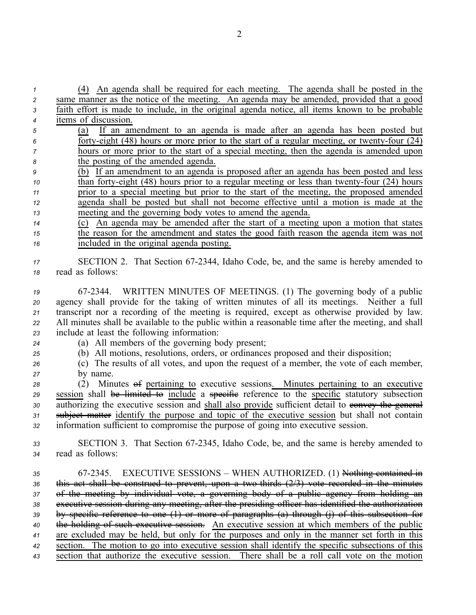| $\mathbf{1}$   | (4) An agenda shall be required for each meeting. The agenda shall be posted in the                |
|----------------|----------------------------------------------------------------------------------------------------|
| $\overline{c}$ | same manner as the notice of the meeting. An agenda may be amended, provided that a good           |
| 3              | faith effort is made to include, in the original agenda notice, all items known to be probable     |
| $\overline{4}$ | items of discussion.                                                                               |
| 5              | If an amendment to an agenda is made after an agenda has been posted but<br>(a)                    |
| 6              | forty-eight $(48)$ hours or more prior to the start of a regular meeting, or twenty-four $(24)$    |
| 7              | hours or more prior to the start of a special meeting, then the agenda is amended upon             |
| 8              | the posting of the amended agenda.                                                                 |
| 9              | (b) If an amendment to an agenda is proposed after an agenda has been posted and less              |
| 10             | than forty-eight (48) hours prior to a regular meeting or less than twenty-four (24) hours         |
| 11             | prior to a special meeting but prior to the start of the meeting, the proposed amended             |
| 12             | agenda shall be posted but shall not become effective until a motion is made at the                |
| 13             | meeting and the governing body votes to amend the agenda.                                          |
| 14             | An agenda may be amended after the start of a meeting upon a motion that states<br>(c)             |
| 15             | the reason for the amendment and states the good faith reason the agenda item was not              |
| 16             | included in the original agenda posting.                                                           |
|                | SECTION 2. That Section 67-2344, Idaho Code, be, and the same is hereby amended to                 |
| 17<br>18       | read as follows:                                                                                   |
|                |                                                                                                    |
| 19             | 67-2344. WRITTEN MINUTES OF MEETINGS. (1) The governing body of a public                           |
| 20             | agency shall provide for the taking of written minutes of all its meetings. Neither a full         |
| 21             | transcript nor a recording of the meeting is required, except as otherwise provided by law.        |
| 22             | All minutes shall be available to the public within a reasonable time after the meeting, and shall |
| 23             | include at least the following information:                                                        |
| 24             | (a) All members of the governing body present;                                                     |
| 25             | (b) All motions, resolutions, orders, or ordinances proposed and their disposition;                |
| 26             | (c) The results of all votes, and upon the request of a member, the vote of each member,           |
| 27             | by name.                                                                                           |
| 28             | (2) Minutes <del>of</del> pertaining to executive sessions. Minutes pertaining to an executive     |
| 29             | session shall be limited to include a specific reference to the specific statutory subsection      |
| 30             | authorizing the executive session and shall also provide sufficient detail to envey the general    |
| 31             | subject matter identify the purpose and topic of the executive session but shall not contain       |
| 32             | information sufficient to compromise the purpose of going into executive session.                  |
|                |                                                                                                    |
| 33             | SECTION 3. That Section 67-2345, Idaho Code, be, and the same is hereby amended to                 |
| 34             | read as follows:                                                                                   |
|                | EXECUTIVE SESSIONS – WHEN AUTHORIZED. (1) Nothing contained in<br>67-2345.                         |
| 35             | this act shall be construed to prevent, upon a two-thirds $(2/3)$ vote recorded in the minutes     |
| 36<br>37       | of the meeting by individual vote, a governing body of a public agency from holding an             |
| 38             | executive session during any meeting, after the presiding officer has identified the authorization |
| 39             | by specific reference to one (1) or more of paragraphs (a) through (j) of this subsection for      |
| 40             | the holding of such executive session. An executive session at which members of the public         |
| 41             | are excluded may be held, but only for the purposes and only in the manner set forth in this       |
| 42             | section. The motion to go into executive session shall identify the specific subsections of this   |
|                |                                                                                                    |

*<sup>43</sup>* section that authorize the executive session. There shall be <sup>a</sup> roll call vote on the motion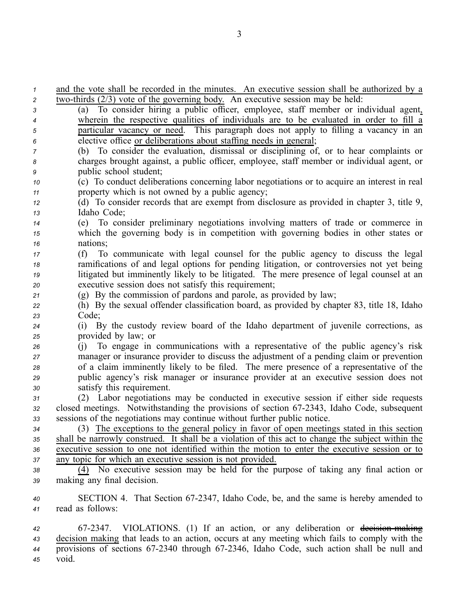and the vote shall be recorded in the minutes. An executive session shall be authorized by <sup>a</sup>  $2^{\circ}$  two-thirds  $(2/3)$  vote of the governing body. An executive session may be held: (a) To consider hiring <sup>a</sup> public officer, employee, staff member or individual agent, wherein the respective qualities of individuals are to be evaluated in order to fill <sup>a</sup> particular vacancy or need. This paragraph does not apply to filling <sup>a</sup> vacancy in an elective office or deliberations about staffing needs in general; (b) To consider the evaluation, dismissal or disciplining of, or to hear complaints or charges brought against, <sup>a</sup> public officer, employee, staff member or individual agent, or public school student; (c) To conduct deliberations concerning labor negotiations or to acquire an interest in real property which is not owned by <sup>a</sup> public agency; (d) To consider records that are exemp<sup>t</sup> from disclosure as provided in chapter 3, title 9, Idaho Code; (e) To consider preliminary negotiations involving matters of trade or commerce in which the governing body is in competition with governing bodies in other states or *<sup>16</sup>* nations; (f) To communicate with legal counsel for the public agency to discuss the legal ramifications of and legal options for pending litigation, or controversies not ye<sup>t</sup> being litigated but imminently likely to be litigated. The mere presence of legal counsel at an executive session does not satisfy this requirement; (g) By the commission of pardons and parole, as provided by law; (h) By the sexual offender classification board, as provided by chapter 83, title 18, Idaho *<sup>23</sup>* Code; (i) By the custody review board of the Idaho department of juvenile corrections, as provided by law; or (j) To engage in communications with <sup>a</sup> representative of the public agency's risk manager or insurance provider to discuss the adjustment of <sup>a</sup> pending claim or prevention of <sup>a</sup> claim imminently likely to be filed. The mere presence of <sup>a</sup> representative of the public agency's risk manager or insurance provider at an executive session does not satisfy this requirement. (2) Labor negotiations may be conducted in executive session if either side requests closed meetings. Notwithstanding the provisions of section 672343, Idaho Code, subsequent sessions of the negotiations may continue without further public notice. (3) The exceptions to the general policy in favor of open meetings stated in this section shall be narrowly construed. It shall be <sup>a</sup> violation of this act to change the subject within the executive session to one not identified within the motion to enter the executive session or to any topic for which an executive session is not provided. (4) No executive session may be held for the purpose of taking any final action or making any final decision. SECTION 4. That Section 672347, Idaho Code, be, and the same is hereby amended to read as follows: 672347. VIOLATIONS. (1) If an action, or any deliberation or decisionmaking decision making that leads to an action, occurs at any meeting which fails to comply with the provisions of sections 672340 through 672346, Idaho Code, such action shall be null and

*<sup>45</sup>* void.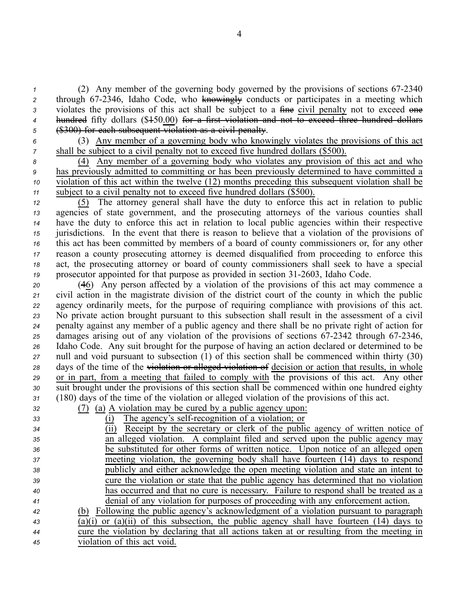*<sup>1</sup>* (2) Any member of the governing body governed by the provisions of sections 672340 2 through 67-2346, Idaho Code, who knowingly conducts or participates in a meeting which 3 violates the provisions of this act shall be subject to a fine civil penalty not to exceed one *<sup>4</sup>* hundred fifty dollars (\$150.00) for <sup>a</sup> first violation and not to exceed three hundred dollars *<sup>5</sup>* (\$300) for each subsequent violation as <sup>a</sup> civil penalty.

*<sup>6</sup>* (3) Any member of <sup>a</sup> governing body who knowingly violates the provisions of this act *7* shall be subject to a civil penalty not to exceed five hundred dollars (\$500).

 (4) Any member of <sup>a</sup> governing body who violates any provision of this act and who has previously admitted to committing or has been previously determined to have committed <sup>a</sup> violation of this act within the twelve (12) months preceding this subsequent violation shall be subject to <sup>a</sup> civil penalty not to exceed five hundred dollars (\$500).

 (5) The attorney general shall have the duty to enforce this act in relation to public agencies of state government, and the prosecuting attorneys of the various counties shall have the duty to enforce this act in relation to local public agencies within their respective jurisdictions. In the event that there is reason to believe that <sup>a</sup> violation of the provisions of this act has been committed by members of <sup>a</sup> board of county commissioners or, for any other reason <sup>a</sup> county prosecuting attorney is deemed disqualified from proceeding to enforce this act, the prosecuting attorney or board of county commissioners shall seek to have <sup>a</sup> special 19 prosecutor appointed for that purpose as provided in section 31-2603, Idaho Code.

 (46) Any person affected by <sup>a</sup> violation of the provisions of this act may commence <sup>a</sup> civil action in the magistrate division of the district court of the county in which the public agency ordinarily meets, for the purpose of requiring compliance with provisions of this act. No private action brought pursuan<sup>t</sup> to this subsection shall result in the assessment of <sup>a</sup> civil penalty against any member of <sup>a</sup> public agency and there shall be no private right of action for 25 damages arising out of any violation of the provisions of sections 67-2342 through 67-2346, Idaho Code. Any suit brought for the purpose of having an action declared or determined to be null and void pursuan<sup>t</sup> to subsection (1) of this section shall be commenced within thirty (30) days of the time of the violation or alleged violation of decision or action that results, in whole or in part, from <sup>a</sup> meeting that failed to comply with the provisions of this act. Any other suit brought under the provisions of this section shall be commenced within one hundred eighty (180) days of the time of the violation or alleged violation of the provisions of this act.

| 32 | (a) A violation may be cured by a public agency upon:                                      |
|----|--------------------------------------------------------------------------------------------|
| 33 | The agency's self-recognition of a violation; or                                           |
| 34 | Receipt by the secretary or clerk of the public agency of written notice of                |
| 35 | an alleged violation. A complaint filed and served upon the public agency may              |
| 36 | be substituted for other forms of written notice. Upon notice of an alleged open           |
| 37 | meeting violation, the governing body shall have fourteen (14) days to respond             |
| 38 | publicly and either acknowledge the open meeting violation and state an intent to          |
| 39 | cure the violation or state that the public agency has determined that no violation        |
| 40 | has occurred and that no cure is necessary. Failure to respond shall be treated as a       |
| 41 | denial of any violation for purposes of proceeding with any enforcement action.            |
| 42 | Following the public agency's acknowledgment of a violation pursuant to paragraph<br>(b)   |
| 43 | (a)(i) or (a)(ii) of this subsection, the public agency shall have fourteen $(14)$ days to |
| 44 | cure the violation by declaring that all actions taken at or resulting from the meeting in |
| 45 | violation of this act void.                                                                |